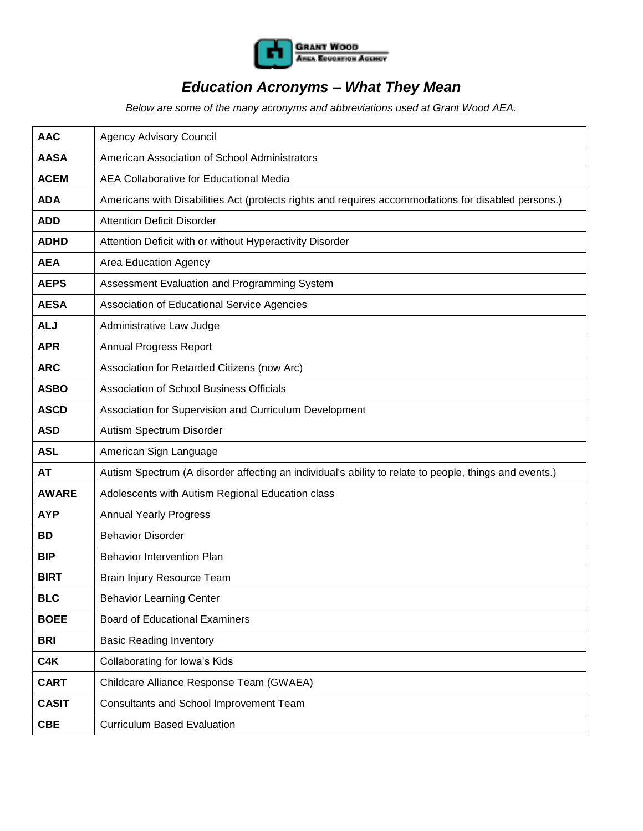

## *Education Acronyms – What They Mean*

*Below are some of the many acronyms and abbreviations used at Grant Wood AEA.*

| <b>AAC</b>   | <b>Agency Advisory Council</b>                                                                         |
|--------------|--------------------------------------------------------------------------------------------------------|
| <b>AASA</b>  | American Association of School Administrators                                                          |
| <b>ACEM</b>  | AEA Collaborative for Educational Media                                                                |
| <b>ADA</b>   | Americans with Disabilities Act (protects rights and requires accommodations for disabled persons.)    |
| <b>ADD</b>   | <b>Attention Deficit Disorder</b>                                                                      |
| <b>ADHD</b>  | Attention Deficit with or without Hyperactivity Disorder                                               |
| <b>AEA</b>   | Area Education Agency                                                                                  |
| <b>AEPS</b>  | Assessment Evaluation and Programming System                                                           |
| <b>AESA</b>  | Association of Educational Service Agencies                                                            |
| <b>ALJ</b>   | Administrative Law Judge                                                                               |
| <b>APR</b>   | <b>Annual Progress Report</b>                                                                          |
| <b>ARC</b>   | Association for Retarded Citizens (now Arc)                                                            |
| <b>ASBO</b>  | Association of School Business Officials                                                               |
| <b>ASCD</b>  | Association for Supervision and Curriculum Development                                                 |
| <b>ASD</b>   | Autism Spectrum Disorder                                                                               |
| <b>ASL</b>   | American Sign Language                                                                                 |
| <b>AT</b>    | Autism Spectrum (A disorder affecting an individual's ability to relate to people, things and events.) |
| <b>AWARE</b> | Adolescents with Autism Regional Education class                                                       |
| <b>AYP</b>   | <b>Annual Yearly Progress</b>                                                                          |
| <b>BD</b>    | <b>Behavior Disorder</b>                                                                               |
| <b>BIP</b>   | <b>Behavior Intervention Plan</b>                                                                      |
| <b>BIRT</b>  | Brain Injury Resource Team                                                                             |
| BLC          | <b>Behavior Learning Center</b>                                                                        |
| <b>BOEE</b>  | <b>Board of Educational Examiners</b>                                                                  |
| <b>BRI</b>   | <b>Basic Reading Inventory</b>                                                                         |
| C4K          | Collaborating for Iowa's Kids                                                                          |
| <b>CART</b>  | Childcare Alliance Response Team (GWAEA)                                                               |
| <b>CASIT</b> | Consultants and School Improvement Team                                                                |
| <b>CBE</b>   | <b>Curriculum Based Evaluation</b>                                                                     |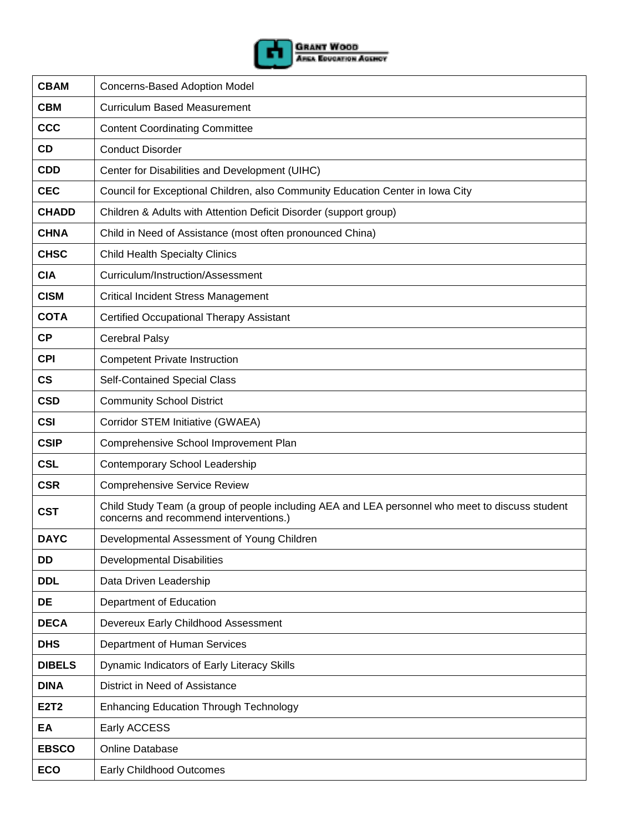

| <b>CBAM</b>   | Concerns-Based Adoption Model                                                                                                             |
|---------------|-------------------------------------------------------------------------------------------------------------------------------------------|
| <b>CBM</b>    | <b>Curriculum Based Measurement</b>                                                                                                       |
| <b>CCC</b>    | <b>Content Coordinating Committee</b>                                                                                                     |
| CD            | <b>Conduct Disorder</b>                                                                                                                   |
| <b>CDD</b>    | Center for Disabilities and Development (UIHC)                                                                                            |
| <b>CEC</b>    | Council for Exceptional Children, also Community Education Center in Iowa City                                                            |
| <b>CHADD</b>  | Children & Adults with Attention Deficit Disorder (support group)                                                                         |
| <b>CHNA</b>   | Child in Need of Assistance (most often pronounced China)                                                                                 |
| <b>CHSC</b>   | <b>Child Health Specialty Clinics</b>                                                                                                     |
| <b>CIA</b>    | Curriculum/Instruction/Assessment                                                                                                         |
| <b>CISM</b>   | <b>Critical Incident Stress Management</b>                                                                                                |
| <b>COTA</b>   | <b>Certified Occupational Therapy Assistant</b>                                                                                           |
| <b>CP</b>     | <b>Cerebral Palsy</b>                                                                                                                     |
| <b>CPI</b>    | <b>Competent Private Instruction</b>                                                                                                      |
| $\mathsf{cs}$ | Self-Contained Special Class                                                                                                              |
| <b>CSD</b>    | <b>Community School District</b>                                                                                                          |
| <b>CSI</b>    | Corridor STEM Initiative (GWAEA)                                                                                                          |
| <b>CSIP</b>   | Comprehensive School Improvement Plan                                                                                                     |
| <b>CSL</b>    | Contemporary School Leadership                                                                                                            |
| <b>CSR</b>    | <b>Comprehensive Service Review</b>                                                                                                       |
| <b>CST</b>    | Child Study Team (a group of people including AEA and LEA personnel who meet to discuss student<br>concerns and recommend interventions.) |
| <b>DAYC</b>   | Developmental Assessment of Young Children                                                                                                |
| <b>DD</b>     | <b>Developmental Disabilities</b>                                                                                                         |
| <b>DDL</b>    | Data Driven Leadership                                                                                                                    |
| DE            | Department of Education                                                                                                                   |
| <b>DECA</b>   | Devereux Early Childhood Assessment                                                                                                       |
| <b>DHS</b>    | Department of Human Services                                                                                                              |
| <b>DIBELS</b> | Dynamic Indicators of Early Literacy Skills                                                                                               |
| <b>DINA</b>   | District in Need of Assistance                                                                                                            |
| <b>E2T2</b>   | <b>Enhancing Education Through Technology</b>                                                                                             |
| EA            | Early ACCESS                                                                                                                              |
| <b>EBSCO</b>  | Online Database                                                                                                                           |
| <b>ECO</b>    | <b>Early Childhood Outcomes</b>                                                                                                           |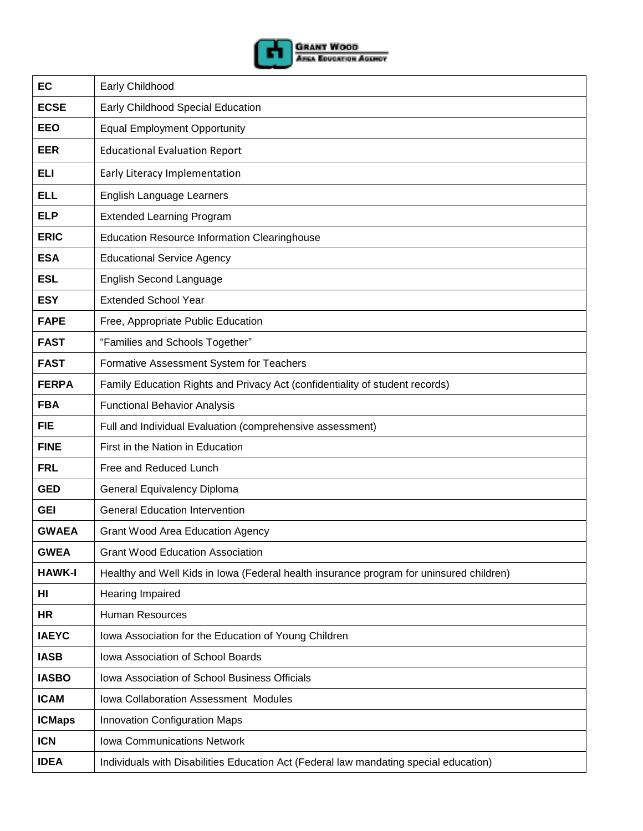

| EC            | Early Childhood                                                                         |
|---------------|-----------------------------------------------------------------------------------------|
| <b>ECSE</b>   | Early Childhood Special Education                                                       |
| <b>EEO</b>    | <b>Equal Employment Opportunity</b>                                                     |
| <b>EER</b>    | <b>Educational Evaluation Report</b>                                                    |
| <b>ELI</b>    | Early Literacy Implementation                                                           |
| <b>ELL</b>    | English Language Learners                                                               |
| <b>ELP</b>    | <b>Extended Learning Program</b>                                                        |
| <b>ERIC</b>   | <b>Education Resource Information Clearinghouse</b>                                     |
| <b>ESA</b>    | <b>Educational Service Agency</b>                                                       |
| <b>ESL</b>    | <b>English Second Language</b>                                                          |
| <b>ESY</b>    | <b>Extended School Year</b>                                                             |
| <b>FAPE</b>   | Free, Appropriate Public Education                                                      |
| <b>FAST</b>   | "Families and Schools Together"                                                         |
| <b>FAST</b>   | Formative Assessment System for Teachers                                                |
| <b>FERPA</b>  | Family Education Rights and Privacy Act (confidentiality of student records)            |
| <b>FBA</b>    | <b>Functional Behavior Analysis</b>                                                     |
| FIE           | Full and Individual Evaluation (comprehensive assessment)                               |
| <b>FINE</b>   | First in the Nation in Education                                                        |
| <b>FRL</b>    | Free and Reduced Lunch                                                                  |
| <b>GED</b>    | General Equivalency Diploma                                                             |
| <b>GEI</b>    | <b>General Education Intervention</b>                                                   |
| <b>GWAEA</b>  | <b>Grant Wood Area Education Agency</b>                                                 |
| GWEA          | <b>Grant Wood Education Association</b>                                                 |
| <b>HAWK-I</b> | Healthy and Well Kids in Iowa (Federal health insurance program for uninsured children) |
| HI            | Hearing Impaired                                                                        |
| HR            | <b>Human Resources</b>                                                                  |
| <b>IAEYC</b>  | Iowa Association for the Education of Young Children                                    |
| <b>IASB</b>   | Iowa Association of School Boards                                                       |
| <b>IASBO</b>  | Iowa Association of School Business Officials                                           |
| <b>ICAM</b>   | Iowa Collaboration Assessment Modules                                                   |
| <b>ICMaps</b> | Innovation Configuration Maps                                                           |
| <b>ICN</b>    | Iowa Communications Network                                                             |
| <b>IDEA</b>   | Individuals with Disabilities Education Act (Federal law mandating special education)   |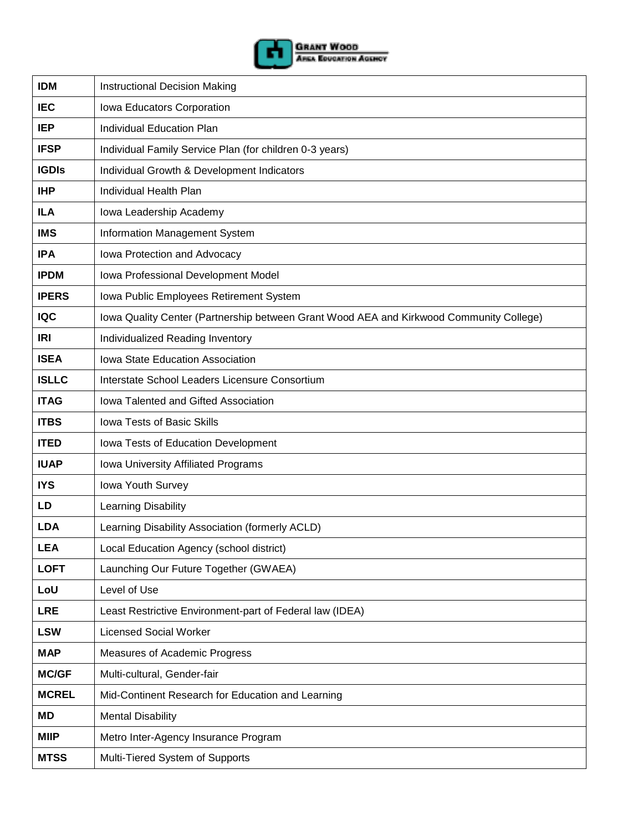

| <b>IDM</b>   | <b>Instructional Decision Making</b>                                                    |
|--------------|-----------------------------------------------------------------------------------------|
| <b>IEC</b>   | Iowa Educators Corporation                                                              |
| <b>IEP</b>   | Individual Education Plan                                                               |
| <b>IFSP</b>  | Individual Family Service Plan (for children 0-3 years)                                 |
| <b>IGDIS</b> | Individual Growth & Development Indicators                                              |
| <b>IHP</b>   | Individual Health Plan                                                                  |
| <b>ILA</b>   | Iowa Leadership Academy                                                                 |
| <b>IMS</b>   | Information Management System                                                           |
| <b>IPA</b>   | Iowa Protection and Advocacy                                                            |
| <b>IPDM</b>  | Iowa Professional Development Model                                                     |
| <b>IPERS</b> | Iowa Public Employees Retirement System                                                 |
| <b>IQC</b>   | lowa Quality Center (Partnership between Grant Wood AEA and Kirkwood Community College) |
| IRI          | Individualized Reading Inventory                                                        |
| <b>ISEA</b>  | Iowa State Education Association                                                        |
| <b>ISLLC</b> | Interstate School Leaders Licensure Consortium                                          |
| <b>ITAG</b>  | Iowa Talented and Gifted Association                                                    |
| <b>ITBS</b>  | <b>Iowa Tests of Basic Skills</b>                                                       |
| <b>ITED</b>  | Iowa Tests of Education Development                                                     |
| <b>IUAP</b>  | Iowa University Affiliated Programs                                                     |
| <b>IYS</b>   | Iowa Youth Survey                                                                       |
| LD           | Learning Disability                                                                     |
| <b>LDA</b>   | Learning Disability Association (formerly ACLD)                                         |
| <b>LEA</b>   | Local Education Agency (school district)                                                |
| <b>LOFT</b>  | Launching Our Future Together (GWAEA)                                                   |
| LoU          | Level of Use                                                                            |
| <b>LRE</b>   | Least Restrictive Environment-part of Federal law (IDEA)                                |
| <b>LSW</b>   | <b>Licensed Social Worker</b>                                                           |
| <b>MAP</b>   | Measures of Academic Progress                                                           |
| <b>MC/GF</b> | Multi-cultural, Gender-fair                                                             |
| <b>MCREL</b> | Mid-Continent Research for Education and Learning                                       |
| MD           | <b>Mental Disability</b>                                                                |
| <b>MIIP</b>  | Metro Inter-Agency Insurance Program                                                    |
| <b>MTSS</b>  | Multi-Tiered System of Supports                                                         |
|              |                                                                                         |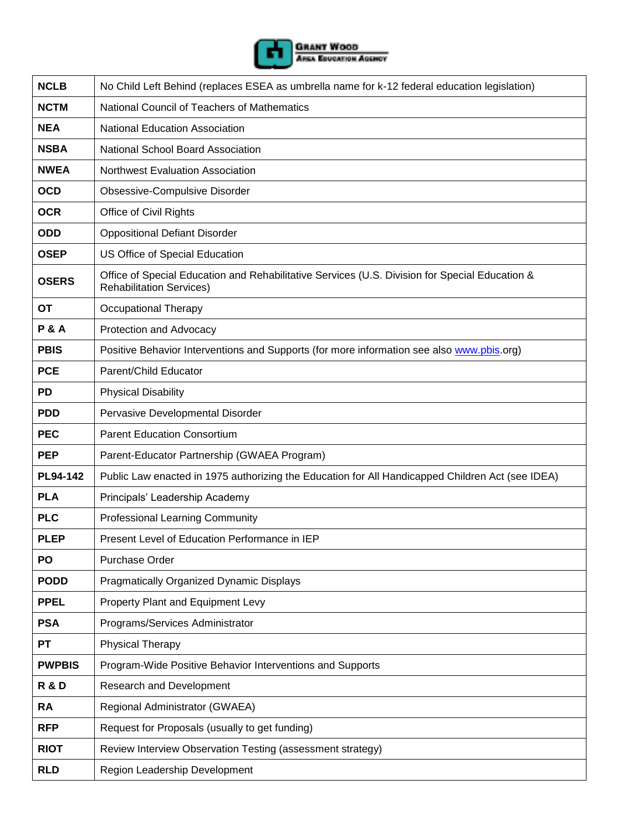

| <b>NCLB</b>      | No Child Left Behind (replaces ESEA as umbrella name for k-12 federal education legislation)                                      |
|------------------|-----------------------------------------------------------------------------------------------------------------------------------|
| <b>NCTM</b>      | National Council of Teachers of Mathematics                                                                                       |
| <b>NEA</b>       | <b>National Education Association</b>                                                                                             |
| <b>NSBA</b>      | <b>National School Board Association</b>                                                                                          |
| <b>NWEA</b>      | <b>Northwest Evaluation Association</b>                                                                                           |
| <b>OCD</b>       | Obsessive-Compulsive Disorder                                                                                                     |
| <b>OCR</b>       | Office of Civil Rights                                                                                                            |
| <b>ODD</b>       | <b>Oppositional Defiant Disorder</b>                                                                                              |
| <b>OSEP</b>      | US Office of Special Education                                                                                                    |
| <b>OSERS</b>     | Office of Special Education and Rehabilitative Services (U.S. Division for Special Education &<br><b>Rehabilitation Services)</b> |
| <b>OT</b>        | Occupational Therapy                                                                                                              |
| <b>P&amp;A</b>   | Protection and Advocacy                                                                                                           |
| <b>PBIS</b>      | Positive Behavior Interventions and Supports (for more information see also www.pbis.org)                                         |
| <b>PCE</b>       | Parent/Child Educator                                                                                                             |
| <b>PD</b>        | <b>Physical Disability</b>                                                                                                        |
| <b>PDD</b>       | Pervasive Developmental Disorder                                                                                                  |
| <b>PEC</b>       | <b>Parent Education Consortium</b>                                                                                                |
| <b>PEP</b>       | Parent-Educator Partnership (GWAEA Program)                                                                                       |
| PL94-142         | Public Law enacted in 1975 authorizing the Education for All Handicapped Children Act (see IDEA)                                  |
| <b>PLA</b>       | Principals' Leadership Academy                                                                                                    |
| <b>PLC</b>       | <b>Professional Learning Community</b>                                                                                            |
| <b>PLEP</b>      | Present Level of Education Performance in IEP                                                                                     |
| PO               | Purchase Order                                                                                                                    |
| <b>PODD</b>      | <b>Pragmatically Organized Dynamic Displays</b>                                                                                   |
| <b>PPEL</b>      | Property Plant and Equipment Levy                                                                                                 |
| <b>PSA</b>       | Programs/Services Administrator                                                                                                   |
| <b>PT</b>        | <b>Physical Therapy</b>                                                                                                           |
| <b>PWPBIS</b>    | Program-Wide Positive Behavior Interventions and Supports                                                                         |
| <b>R &amp; D</b> | Research and Development                                                                                                          |
| <b>RA</b>        | Regional Administrator (GWAEA)                                                                                                    |
| <b>RFP</b>       | Request for Proposals (usually to get funding)                                                                                    |
| <b>RIOT</b>      | Review Interview Observation Testing (assessment strategy)                                                                        |
| <b>RLD</b>       | Region Leadership Development                                                                                                     |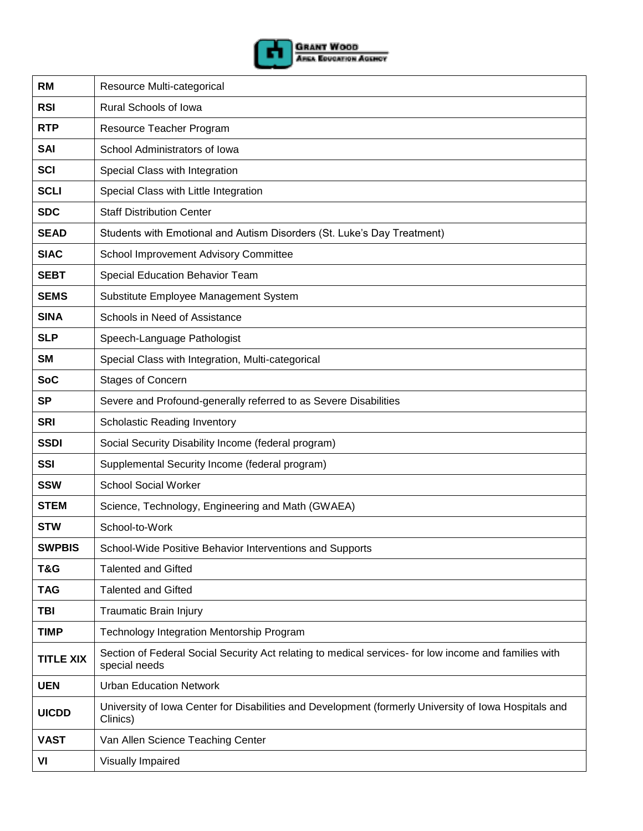

| <b>RM</b>        | Resource Multi-categorical                                                                                             |
|------------------|------------------------------------------------------------------------------------------------------------------------|
| <b>RSI</b>       | Rural Schools of Iowa                                                                                                  |
| <b>RTP</b>       | Resource Teacher Program                                                                                               |
| <b>SAI</b>       | School Administrators of Iowa                                                                                          |
| <b>SCI</b>       | Special Class with Integration                                                                                         |
| <b>SCLI</b>      | Special Class with Little Integration                                                                                  |
| <b>SDC</b>       | <b>Staff Distribution Center</b>                                                                                       |
| <b>SEAD</b>      | Students with Emotional and Autism Disorders (St. Luke's Day Treatment)                                                |
| <b>SIAC</b>      | School Improvement Advisory Committee                                                                                  |
| <b>SEBT</b>      | Special Education Behavior Team                                                                                        |
| <b>SEMS</b>      | Substitute Employee Management System                                                                                  |
| <b>SINA</b>      | Schools in Need of Assistance                                                                                          |
| <b>SLP</b>       | Speech-Language Pathologist                                                                                            |
| <b>SM</b>        | Special Class with Integration, Multi-categorical                                                                      |
| <b>SoC</b>       | <b>Stages of Concern</b>                                                                                               |
| <b>SP</b>        | Severe and Profound-generally referred to as Severe Disabilities                                                       |
| <b>SRI</b>       | <b>Scholastic Reading Inventory</b>                                                                                    |
| <b>SSDI</b>      | Social Security Disability Income (federal program)                                                                    |
| SSI              | Supplemental Security Income (federal program)                                                                         |
| <b>SSW</b>       | <b>School Social Worker</b>                                                                                            |
| <b>STEM</b>      | Science, Technology, Engineering and Math (GWAEA)                                                                      |
| <b>STW</b>       | School-to-Work                                                                                                         |
| <b>SWPBIS</b>    | School-Wide Positive Behavior Interventions and Supports                                                               |
| T&G              | <b>Talented and Gifted</b>                                                                                             |
| <b>TAG</b>       | <b>Talented and Gifted</b>                                                                                             |
| TBI              | Traumatic Brain Injury                                                                                                 |
| <b>TIMP</b>      | Technology Integration Mentorship Program                                                                              |
| <b>TITLE XIX</b> | Section of Federal Social Security Act relating to medical services- for low income and families with<br>special needs |
| <b>UEN</b>       | <b>Urban Education Network</b>                                                                                         |
| <b>UICDD</b>     | University of Iowa Center for Disabilities and Development (formerly University of Iowa Hospitals and<br>Clinics)      |
| <b>VAST</b>      | Van Allen Science Teaching Center                                                                                      |
| VI               | Visually Impaired                                                                                                      |